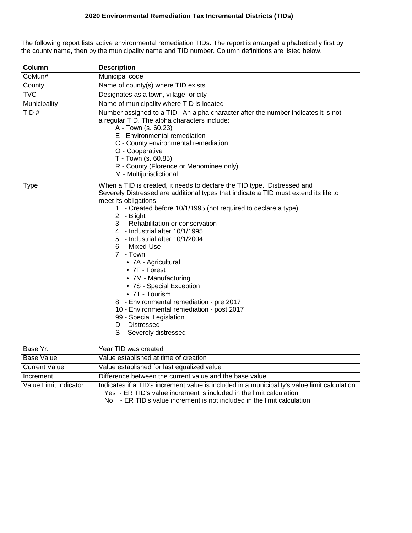## **2020 Environmental Remediation Tax Incremental Districts (TIDs)**

The following report lists active environmental remediation TIDs. The report is arranged alphabetically first by the county name, then by the municipality name and TID number. Column definitions are listed below.

| Column                | <b>Description</b>                                                                                                                                                                                                                                                                                                                                                                                                                                                                                                                                                                                                                                                                                      |  |  |  |  |  |  |
|-----------------------|---------------------------------------------------------------------------------------------------------------------------------------------------------------------------------------------------------------------------------------------------------------------------------------------------------------------------------------------------------------------------------------------------------------------------------------------------------------------------------------------------------------------------------------------------------------------------------------------------------------------------------------------------------------------------------------------------------|--|--|--|--|--|--|
| CoMun#                | Municipal code                                                                                                                                                                                                                                                                                                                                                                                                                                                                                                                                                                                                                                                                                          |  |  |  |  |  |  |
| County                | Name of county(s) where TID exists                                                                                                                                                                                                                                                                                                                                                                                                                                                                                                                                                                                                                                                                      |  |  |  |  |  |  |
| <b>TVC</b>            | Designates as a town, village, or city                                                                                                                                                                                                                                                                                                                                                                                                                                                                                                                                                                                                                                                                  |  |  |  |  |  |  |
| Municipality          | Name of municipality where TID is located                                                                                                                                                                                                                                                                                                                                                                                                                                                                                                                                                                                                                                                               |  |  |  |  |  |  |
| TID#                  | Number assigned to a TID. An alpha character after the number indicates it is not<br>a regular TID. The alpha characters include:<br>A - Town (s. 60.23)<br>E - Environmental remediation<br>C - County environmental remediation<br>O - Cooperative<br>T - Town (s. 60.85)<br>R - County (Florence or Menominee only)<br>M - Multijurisdictional                                                                                                                                                                                                                                                                                                                                                       |  |  |  |  |  |  |
| Type                  | When a TID is created, it needs to declare the TID type. Distressed and<br>Severely Distressed are additional types that indicate a TID must extend its life to<br>meet its obligations.<br>1 - Created before 10/1/1995 (not required to declare a type)<br>2 - Blight<br>3 - Rehabilitation or conservation<br>4 - Industrial after 10/1/1995<br>5 - Industrial after 10/1/2004<br>6 - Mixed-Use<br>7 - Town<br>• 7A - Agricultural<br>$\bullet$ 7F - Forest<br>• 7M - Manufacturing<br>• 7S - Special Exception<br>• 7T - Tourism<br>8 - Environmental remediation - pre 2017<br>10 - Environmental remediation - post 2017<br>99 - Special Legislation<br>D - Distressed<br>S - Severely distressed |  |  |  |  |  |  |
| Base Yr.              | Year TID was created                                                                                                                                                                                                                                                                                                                                                                                                                                                                                                                                                                                                                                                                                    |  |  |  |  |  |  |
| <b>Base Value</b>     | Value established at time of creation                                                                                                                                                                                                                                                                                                                                                                                                                                                                                                                                                                                                                                                                   |  |  |  |  |  |  |
| <b>Current Value</b>  | Value established for last equalized value                                                                                                                                                                                                                                                                                                                                                                                                                                                                                                                                                                                                                                                              |  |  |  |  |  |  |
| Increment             | Difference between the current value and the base value                                                                                                                                                                                                                                                                                                                                                                                                                                                                                                                                                                                                                                                 |  |  |  |  |  |  |
| Value Limit Indicator | Indicates if a TID's increment value is included in a municipality's value limit calculation.<br>Yes - ER TID's value increment is included in the limit calculation<br>No - ER TID's value increment is not included in the limit calculation                                                                                                                                                                                                                                                                                                                                                                                                                                                          |  |  |  |  |  |  |